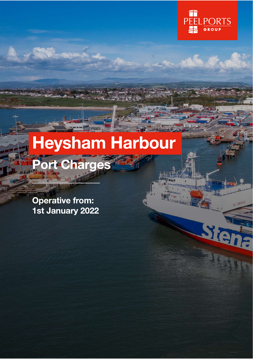

# **Heysham Harbour** Port Charges

**Operative from:** 1st January 2022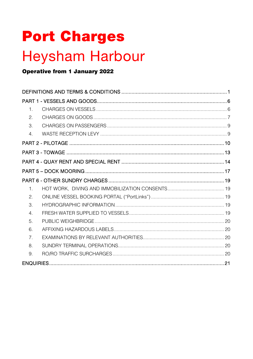# **Port Charges**

# **Heysham Harbour**

## **Operative from 1 January 2022**

| $\mathbf{1}$     |  |
|------------------|--|
| 2.               |  |
| 3.               |  |
| $\overline{4}$ . |  |
|                  |  |
|                  |  |
|                  |  |
|                  |  |
|                  |  |
| $\mathbf{1}$ .   |  |
| 2.               |  |
| 3.               |  |
| $\overline{4}$   |  |
| 5.               |  |
| 6.               |  |
| $\overline{7}$   |  |
| 8.               |  |
| 9.               |  |
|                  |  |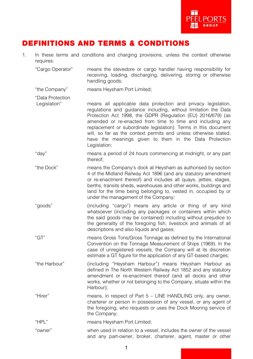

# DEFINITIONS AND TERMS & CONDITIONS

1. In these terms and conditions and charging provisions, unless the context otherwise requires:

"Cargo Operator" means the stevedore or cargo handler having responsibility for receiving, loading, discharging, delivering, storing or otherwise handling goods;

- "the Company" means Heysham Port Limited;
- "Data Protection
- Legislation" means all applicable data protection and privacy legislation, regulations and guidance including, without limitation the Data Protection Act 1998, the GDPR (Regulation (EU) 2016/679) (as amended or re-enacted from time to time and including any replacement or subordinate legislation). Terms in this document will, so far as the context permits and unless otherwise stated. have the meanings given to them in the Data Protection Legislation;
- "day" means a period of 24 hours commencing at midnight, or any part thereof;
- "the Dock" means the Company's dock at Heysham as authorised by section 4 of the Midland Railway Act 1896 (and any statutory amendment or re-enactment thereof) and includes all quays, jetties, stages, berths, transits sheds, warehouses and other works, buildings and land for the time being belonging to, vested in, occupied by or under the management of the Company;
- "goods" (including "cargo") means any article or thing of any kind whatsoever (including any packages or containers within which the said goods may be contained) including without prejudice to the generality of the foregoing fish, livestock and animals of all descriptions and also liquids and gases;
- "GT" means Gross Tons/Gross Tonnage as defined by the International Convention on the Tonnage Measurement of Ships (1969). In the case of unregistered vessels, the Company will at its discretion estimate a GT figure for the application of any GT-based charges;
- "the Harbour" (including "Heysham Harbour") means Heysham Harbour as defined in The North Western Railway Act 1852 and any statutory amendment or re-enactment thereof (and all docks and other works, whether or not belonging to the Company, situate within the Harbour);
- "Hirer" means, in respect of Part 5 LINE HANDLING only, any owner, charterer or person in possession of any vessel, or any agent of the foregoing, who requests or uses the Dock Mooring service of the Company;
- "HPL" means Heysham Port Limited;
- "owner" when used in relation to a vessel, includes the owner of the vessel and any part-owner, broker, charterer, agent, master or other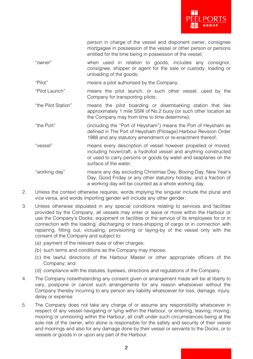

|                     | person in charge of the vessel and disponent owner, consignee<br>mortgagee in possession of the vessel or other person or persons<br>entitled for the time being in possession of the vessel;                                  |
|---------------------|--------------------------------------------------------------------------------------------------------------------------------------------------------------------------------------------------------------------------------|
| "owner"             | when used in relation to goods, includes any consignor,<br>consignee, shipper or agent for the sale or custody, loading or<br>unloading of the goods;                                                                          |
| "Pilot"             | means a pilot authorised by the Company;                                                                                                                                                                                       |
| "Pilot Launch"      | means the pilot launch, or such other vessel, used by the<br>Company for transporting pilots;                                                                                                                                  |
| "the Pilot Station" | means the pilot boarding or disembarking station that lies<br>approximately 1 mile SSW of No.2 buoy (or such other location as<br>the Company may from time to time determine);                                                |
| "the Port"          | (including the "Port of Heysham") means the Port of Heysham as<br>defined in The Port of Heysham (Pilotage) Harbour Revision Order<br>1988 and any statutory amendment or re-enactment thereof;                                |
| "vessel"            | means every description of vessel however propelled or moved,<br>including hovercraft, a hydrofoil vessel and anything constructed<br>or used to carry persons or goods by water and seaplanes on the<br>surface of the water; |
| "working day"       | means any day excluding Christmas Day, Boxing Day, New Year's<br>Day, Good Friday or any other statutory holiday; and a fraction of<br>a working day will be counted as a whole working day.                                   |

- 2. Unless the context otherwise requires, words implying the singular include the plural and vice versa, and words importing gender will include any other gender.
- 3. Unless otherwise stipulated in any special conditions relating to services and facilities provided by the Company, all vessels may enter or leave or move within the Harbour or use the Company's Docks, equipment or facilities or the service of its employees for or in connection with the loading, discharging or trans-shipping of cargo or in connection with repairing, fitting out, victualing, provisioning or laying-by of the vessel only with the consent of the Company and subject to:
	- (a) payment of the relevant dues or other charges:
	- (b) such terms and conditions as the Company may impose;
	- (c) the lawful directions of the Harbour Master or other appropriate officers of the Company; and
	- (d) compliance with the statutes, byelaws, directions and regulations of the Company.
- 4. The Company notwithstanding any consent given or arrangement made will be at liberty to vary, postpone or cancel such arrangements for any reason whatsoever without the Company thereby incurring to any person any liability whatsoever for loss, damage, injury, delay or expense.
- 5. The Company does not take any charge of or assume any responsibility whatsoever in respect of any vessel navigating or lying within the Harbour, or entering, leaving, moving, mooring or unmooring within the Harbour; all craft under such circumstances being at the sole risk of the owner, who alone is responsible for the safety and security of their vessel and moorings and also for any damage done by their vessel or servants to the Docks, or to vessels or goods in or upon any part of the Harbour.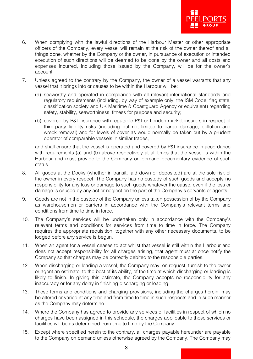

- 6. When complying with the lawful directions of the Harbour Master or other appropriate officers of the Company, every vessel will remain at the risk of the owner thereof and all things done, whether by the Company or the owner, in pursuance of execution or intended execution of such directions will be deemed to be done by the owner and all costs and expenses incurred, including those issued by the Company, will be for the owner's account.
- 7. Unless agreed to the contrary by the Company, the owner of a vessel warrants that any vessel that it brings into or causes to be within the Harbour will be:
	- (a) seaworthy and operated in compliance with all relevant international standards and regulatory requirements (including, by way of example only, the ISM Code, flag state, classification society and UK Maritime & Coastguard Agency or equivalent) regarding safety, stability, seaworthiness, fitness for purpose and security;
	- (b) covered by P&I insurance with reputable P&I or London market insurers in respect of third-party liability risks (including but not limited to cargo damage, pollution and wreck removal) and for levels of cover as would normally be taken out by a prudent operator of comparable vessels in similar trades;

and shall ensure that the vessel is operated and covered by P&I insurance in accordance with requirements (a) and (b) above respectively at all times that the vessel is within the Harbour and must provide to the Company on demand documentary evidence of such status.

- 8. All goods at the Docks (whether in transit, laid down or deposited) are at the sole risk of the owner in every respect. The Company has no custody of such goods and accepts no responsibility for any loss or damage to such goods whatever the cause, even if the loss or damage is caused by any act or neglect on the part of the Company's servants or agents.
- 9. Goods are not in the custody of the Company unless taken possession of by the Company as warehousemen or carriers in accordance with the Company's relevant terms and conditions from time to time in force.
- 10. The Company's services will be undertaken only in accordance with the Company's relevant terms and conditions for services from time to time in force. The Company requires the appropriate requisition, together with any other necessary documents, to be lodged before any service is begun.
- 11. When an agent for a vessel ceases to act whilst that vessel is still within the Harbour and does not accept responsibility for all charges arising, that agent must at once notify the Company so that charges may be correctly debited to the responsible parties.
- 12. When discharging or loading a vessel, the Company may, on request, furnish to the owner or agent an estimate, to the best of its ability, of the time at which discharging or loading is likely to finish. In giving this estimate, the Company accepts no responsibility for any inaccuracy or for any delay in finishing discharging or loading.
- 13. These terms and conditions and charging provisions, including the charges herein, may be altered or varied at any time and from time to time in such respects and in such manner as the Company may determine.
- 14. Where the Company has agreed to provide any services or facilities in respect of which no charges have been assigned in this schedule, the charges applicable to those services or facilities will be as determined from time to time by the Company.
- 15. Except where specified herein to the contrary, all charges payable hereunder are payable to the Company on demand unless otherwise agreed by the Company. The Company may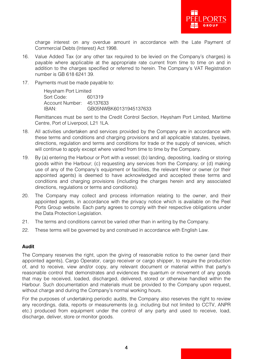

charge interest on any overdue amount in accordance with the Late Payment of Commercial Debts (Interest) Act 1998.

- 16. Value Added Tax (or any other tax required to be levied on the Company's charges) is payable where applicable at the appropriate rate current from time to time on and in addition to the charges specified or referred to herein. The Company's VAT Registration number is GB 618 6241 39.
- 17. Payments must be made payable to:

Heysham Port Limited<br>Sort Code: 601319 Sort Code: Account Number: 45137633 IBAN: GB05NWBK60131945137633

Remittances must be sent to the Credit Control Section, Heysham Port Limited, Maritime Centre, Port of Liverpool, L21 1LA.

- 18. All activities undertaken and services provided by the Company are in accordance with these terms and conditions and charging provisions and all applicable statutes, byelaws, directions, regulation and terms and conditions for trade or the supply of services, which will continue to apply except where varied from time to time by the Company.
- 19. By (a) entering the Harbour or Port with a vessel; (b) landing, depositing, loading or storing goods within the Harbour; (c) requesting any services from the Company; or (d) making use of any of the Company's equipment or facilities, the relevant Hirer or owner (or their appointed agents) is deemed to have acknowledged and accepted these terms and conditions and charging provisions (including the charges herein and any associated directions, regulations or terms and conditions).
- 20. The Company may collect and process information relating to the owner, and their appointed agents, in accordance with the privacy notice which is available on the Peel Ports Group website. Each party agrees to comply with their respective obligations under the Data Protection Legislation.
- 21. The terms and conditions cannot be varied other than in writing by the Company.
- 22. These terms will be governed by and construed in accordance with English Law.

#### **Audit**

The Company reserves the right, upon the giving of reasonable notice to the owner (and their appointed agents), Cargo Operator, cargo receiver or cargo shipper, to require the production of, and to receive, view and/or copy, any relevant document or material within that party's reasonable control that demonstrates and evidences the quantum or movement of any goods that may be received, loaded, discharged, delivered, stored or otherwise handled within the Harbour. Such documentation and materials must be provided to the Company upon request, without charge and during the Company's normal working hours.

For the purposes of undertaking periodic audits, the Company also reserves the right to review any recordings, data, reports or measurements (e.g. including but not limited to CCTV, ANPR etc.) produced from equipment under the control of any party and used to receive, load, discharge, deliver, store or monitor goods.

4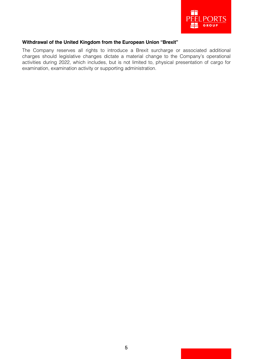

#### **Withdrawal of the United Kingdom from the European Union "Brexit"**

The Company reserves all rights to introduce a Brexit surcharge or associated additional charges should legislative changes dictate a material change to the Company's operational activities during 2022, which includes, but is not limited to, physical presentation of cargo for examination, examination activity or supporting administration.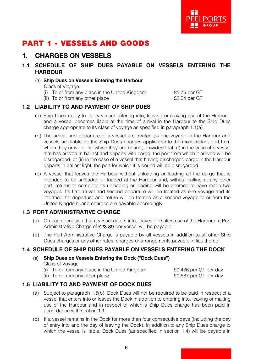

# PART 1 - VESSELS AND GOODS

## 1. CHARGES ON VESSELS

- **1.1 SCHEDULE OF SHIP DUES PAYABLE ON VESSELS ENTERING THE HARBOUR**
	- (a) **Ship Dues on Vessels Entering the Harbour**

Class of Voyage

- (i) To or from any place in the United Kingdom: £1.75 per GT
- (ii) To or from any other place  $E2.34$  per GT

#### **1.2 LIABILITY TO AND PAYMENT OF SHIP DUES**

- (a) Ship Dues apply to every vessel entering into, leaving or making use of the Harbour, and a vessel becomes liable at the time of arrival in the Harbour to the Ship Dues charge appropriate to its class of voyage as specified in paragraph 1.1(a).
- (b) The arrival and departure of a vessel are treated as one voyage to the Harbour and vessels are liable for the Ship Dues charges applicable to the most distant port from which they arrive or for which they are bound, provided that: (i) in the case of a vessel that has arrived in ballast and departs with cargo, the port from which it arrived will be disregarded; or (ii) in the case of a vessel that having discharged cargo in the Harbour departs in ballast light, the port for which it is bound will be disregarded.
- (c) A vessel that leaves the Harbour without unloading or loading all the cargo that is intended to be unloaded or loaded at the Harbour and, without calling at any other port, returns to complete its unloading or loading will be deemed to have made two voyages. Its first arrival and second departure will be treated as one voyage and its intermediate departure and return will be treated as a second voyage to or from the United Kingdom, and charges are payable accordingly.

#### **1.3 PORT ADMINISTRATIVE CHARGE**

- (a) On each occasion that a vessel enters into, leaves or makes use of the Harbour, a Port Administrative Charge of £23.39 per vessel will be payable.
- (b) The Port Administrative Charge is payable by all vessels in addition to all other Ship Dues charges or any other rates, charges or arrangements payable in lieu thereof.

#### **1.4 SCHEDULE OF SHIP DUES PAYABLE ON VESSELS ENTERING THE DOCK**

(a) **Ship Dues on Vessels Entering the Dock ("Dock Dues")**

Class of Voyage

(i) To or from any place in the United Kingdom £0.436 per GT per day

(ii) To or from any other place  $\epsilon$  example to the example of the E0.587 per GT per day

#### **1.5 LIABILITY TO AND PAYMENT OF DOCK DUES**

- (a) Subject to paragraph 1.5(b), Dock Dues will not be required to be paid in respect of a vessel that enters into or leaves the Dock in addition to entering into, leaving or making use of the Harbour and in respect of which a Ship Dues charge has been paid in accordance with section 1.1.
- (b) If a vessel remains in the Dock for more than four consecutive days (including the day of entry into and the day of leaving the Dock), in addition to any Ship Dues charge to which the vessel is liable, Dock Dues (as specified in section 1.4) will be payable in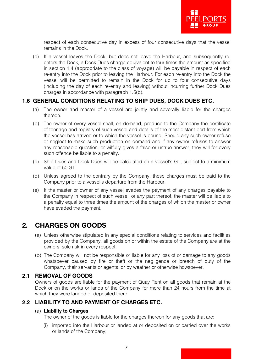

respect of each consecutive day in excess of four consecutive days that the vessel remains in the Dock.

(c) If a vessel leaves the Dock, but does not leave the Harbour, and subsequently reenters the Dock, a Dock Dues charge equivalent to four times the amount as specified in section 1.4 (appropriate to the class of voyage) will be payable in respect of each re-entry into the Dock prior to leaving the Harbour. For each re-entry into the Dock the vessel will be permitted to remain in the Dock for up to four consecutive days (including the day of each re-entry and leaving) without incurring further Dock Dues charges in accordance with paragraph 1.5(b).

#### **1.6 GENERAL CONDITIONS RELATING TO SHIP DUES, DOCK DUES ETC.**

- (a) The owner and master of a vessel are jointly and severally liable for the charges thereon.
- (b) The owner of every vessel shall, on demand, produce to the Company the certificate of tonnage and registry of such vessel and details of the most distant port from which the vessel has arrived or to which the vessel is bound. Should any such owner refuse or neglect to make such production on demand and if any owner refuses to answer any reasonable question, or wilfully gives a false or untrue answer, they will for every such offence be liable to a penalty.
- (c) Ship Dues and Dock Dues will be calculated on a vessel's GT, subject to a minimum value of 50 GT.
- (d) Unless agreed to the contrary by the Company, these charges must be paid to the Company prior to a vessel's departure from the Harbour.
- (e) If the master or owner of any vessel evades the payment of any charges payable to the Company in respect of such vessel, or any part thereof, the master will be liable to a penalty equal to three times the amount of the charges of which the master or owner have evaded the payment.

## 2. CHARGES ON GOODS

- (a) Unless otherwise stipulated in any special conditions relating to services and facilities provided by the Company, all goods on or within the estate of the Company are at the owners' sole risk in every respect.
- (b) The Company will not be responsible or liable for any loss of or damage to any goods whatsoever caused by fire or theft or the negligence or breach of duty of the Company, their servants or agents, or by weather or otherwise howsoever.

#### **2.1 REMOVAL OF GOODS**

Owners of goods are liable for the payment of Quay Rent on all goods that remain at the Dock or on the works or lands of the Company for more than 24 hours from the time at which they were landed or deposited there.

#### **2.2 LIABILITY TO AND PAYMENT OF CHARGES ETC.**

#### (a) **Liability to Charges**

The owner of the goods is liable for the charges thereon for any goods that are:

(i) imported into the Harbour or landed at or deposited on or carried over the works or lands of the Company;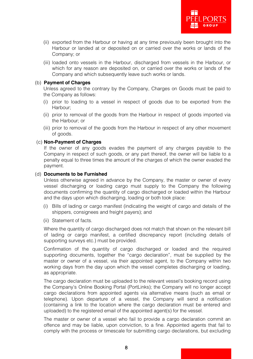

- (ii) exported from the Harbour or having at any time previously been brought into the Harbour or landed at or deposited on or carried over the works or lands of the Company; or
- (iii) loaded onto vessels in the Harbour, discharged from vessels in the Harbour, or which for any reason are deposited on, or carried over the works or lands of the Company and which subsequently leave such works or lands.

#### (b) **Payment of Charges**

Unless agreed to the contrary by the Company, Charges on Goods must be paid to the Company as follows:

- (i) prior to loading to a vessel in respect of goods due to be exported from the Harbour;
- (ii) prior to removal of the goods from the Harbour in respect of goods imported via the Harbour; or
- (iii) prior to removal of the goods from the Harbour in respect of any other movement of goods.

#### (c) **Non-Payment of Charges**

If the owner of any goods evades the payment of any charges payable to the Company in respect of such goods, or any part thereof, the owner will be liable to a penalty equal to three times the amount of the charges of which the owner evaded the payment.

#### (d) **Documents to be Furnished**

Unless otherwise agreed in advance by the Company, the master or owner of every vessel discharging or loading cargo must supply to the Company the following documents confirming the quantity of cargo discharged or loaded within the Harbour and the days upon which discharging, loading or both took place:

- (i) Bills of lading or cargo manifest (indicating the weight of cargo and details of the shippers, consignees and freight payers); and
- (ii) Statement of facts.

Where the quantity of cargo discharged does not match that shown on the relevant bill of lading or cargo manifest, a certified discrepancy report (including details of supporting surveys etc.) must be provided.

Confirmation of the quantity of cargo discharged or loaded and the required supporting documents, together the "cargo declaration", must be supplied by the master or owner of a vessel, via their appointed agent, to the Company within two working days from the day upon which the vessel completes discharging or loading, as appropriate.

The cargo declaration must be uploaded to the relevant vessel's booking record using the Company's Online Booking Portal (PortLinks); the Company will no longer accept cargo declarations from appointed agents via alternative means (such as email or telephone). Upon departure of a vessel, the Company will send a notification (containing a link to the location where the cargo declaration must be entered and uploaded) to the registered email of the appointed agent(s) for the vessel.

The master or owner of a vessel who fail to provide a cargo declaration commit an offence and may be liable, upon conviction, to a fine. Appointed agents that fail to comply with the process or timescale for submitting cargo declarations, but excluding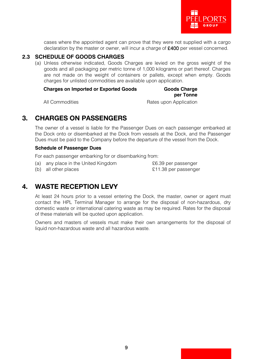

cases where the appointed agent can prove that they were not supplied with a cargo declaration by the master or owner, will incur a charge of £400 per vessel concerned.

#### **2.3 SCHEDULE OF GOODS CHARGES**

(a) Unless otherwise indicated, Goods Charges are levied on the gross weight of the goods and all packaging per metric tonne of 1,000 kilograms or part thereof. Charges are not made on the weight of containers or pallets, except when empty. Goods charges for unlisted commodities are available upon application.

**Charges on Imported or Exported Goods Goods Charge**

# **per Tonne**

All Commodities **All Commodities Rates upon Application** 

# 3. CHARGES ON PASSENGERS

The owner of a vessel is liable for the Passenger Dues on each passenger embarked at the Dock onto or disembarked at the Dock from vessels at the Dock, and the Passenger Dues must be paid to the Company before the departure of the vessel from the Dock.

#### **Schedule of Passenger Dues**

For each passenger embarking for or disembarking from:

(a) any place in the United Kingdom **E**6.39 per passenger

(b) all other places  $£11.38$  per passenger

# 4. WASTE RECEPTION LEVY

At least 24 hours prior to a vessel entering the Dock, the master, owner or agent must contact the HPL Terminal Manager to arrange for the disposal of non-hazardous, dry domestic waste or international catering waste as may be required. Rates for the disposal of these materials will be quoted upon application.

Owners and masters of vessels must make their own arrangements for the disposal of liquid non-hazardous waste and all hazardous waste.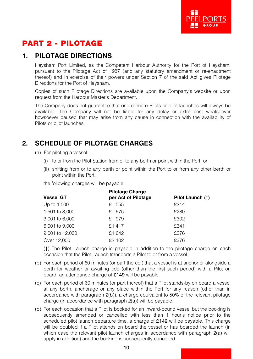

# PART 2 - PILOTAGE

## **1. PILOTAGE DIRECTIONS**

Heysham Port Limited, as the Competent Harbour Authority for the Port of Heysham, pursuant to the Pilotage Act of 1987 (and any statutory amendment or re-enactment thereof) and in exercise of their powers under Section 7 of the said Act gives Pilotage Directions for the Port of Heysham.

Copies of such Pilotage Directions are available upon the Company's website or upon request from the Harbour Master's Department.

The Company does not guarantee that one or more Pilots or pilot launches will always be available. The Company will not be liable for any delay or extra cost whatsoever howsoever caused that may arise from any cause in connection with the availability of Pilots or pilot launches.

# **2. SCHEDULE OF PILOTAGE CHARGES**

- (a) For piloting a vessel:
	- (i) to or from the Pilot Station from or to any berth or point within the Port; or
	- (ii) shifting from or to any berth or point within the Port to or from any other berth or point within the Port,

the following charges will be payable:

|                  | <b>Pilotage Charge</b> |                  |  |
|------------------|------------------------|------------------|--|
| <b>Vessel GT</b> | per Act of Pilotage    | Pilot Launch (†) |  |
| Up to 1,500      | £ 555                  | £214             |  |
| 1,501 to 3,000   | £ 675                  | £280             |  |
| 3,001 to 6,000   | £ 979                  | £302             |  |
| 6,001 to 9,000   | £1,417                 | £341             |  |
| 9,001 to 12,000  | £1.642                 | £376             |  |
| Over 12,000      | £2.102                 | £376             |  |

(†) The Pilot Launch charge is payable in addition to the pilotage charge on each occasion that the Pilot Launch transports a Pilot to or from a vessel.

- (b) For each period of 60 minutes (or part thereof) that a vessel is at anchor or alongside a berth for weather or awaiting tide (other than the first such period) with a Pilot on board, an attendance charge of £149 will be payable.
- (c) For each period of 60 minutes (or part thereof) that a Pilot stands-by on board a vessel at any berth, anchorage or any place within the Port for any reason (other than in accordance with paragraph 2(b)), a charge equivalent to 50% of the relevant pilotage charge (in accordance with paragraph 2(a)) will be payable.
- (d) For each occasion that a Pilot is booked for an inward-bound vessel but the booking is subsequently amended or cancelled with less than 1 hour's notice prior to the scheduled pilot launch departure time, a charge of  $£149$  will be payable. This charge will be doubled if a Pilot attends on board the vessel or has boarded the launch (in which case the relevant pilot launch charges in accordance with paragraph 2(a) will apply in addition) and the booking is subsequently cancelled.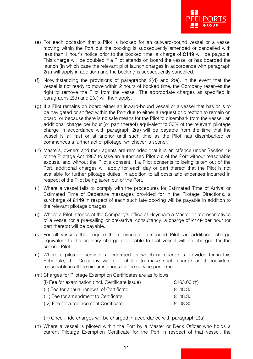

- (e) For each occasion that a Pilot is booked for an outward-bound vessel or a vessel moving within the Port but the booking is subsequently amended or cancelled with less than 1 hour's notice prior to the booked time, a charge of  $£149$  will be payable. This charge will be doubled if a Pilot attends on board the vessel or has boarded the launch (in which case the relevant pilot launch charges in accordance with paragraph 2(a) will apply in addition) and the booking is subsequently cancelled.
- (f) Notwithstanding the provisions of paragraphs 2(d) and 2(e), in the event that the vessel is not ready to move within 2 hours of booked time, the Company reserves the right to remove the Pilot from the vessel. The appropriate charges as specified in paragraphs 2(d) and 2(e) will then apply.
- (g) If a Pilot remains on board either an inward-bound vessel or a vessel that has or is to be navigated or shifted within the Port due to either a request or direction to remain on board, or because there is no safe means for the Pilot to disembark from the vessel, an additional charge per hour (or part thereof) equivalent to 50% of the relevant pilotage charge in accordance with paragraph 2(a) will be payable from the time that the vessel is all fast or at anchor until such time as the Pilot has disembarked or commences a further act of pilotage, whichever is sooner.
- (h) Masters, owners and their agents are reminded that it is an offence under Section 19 of the Pilotage Act 1987 to take an authorised Pilot out of the Port without reasonable excuse, and without the Pilot's consent. If a Pilot consents to being taken out of the Port, additional charges will apply for each day or part thereof that the Pilot is not available for further pilotage duties, in addition to all costs and expenses incurred in respect of the Pilot being taken out of the Port.
- (i) Where a vessel fails to comply with the procedures for Estimated Time of Arrival or Estimated Time of Departure messages provided for in the Pilotage Directions, a surcharge of £149 in respect of each such late booking will be payable in addition to the relevant pilotage charges.
- (j) Where a Pilot attends at the Company's office at Heysham a Master or representatives of a vessel for a pre-sailing or pre-arrival consultancy, a charge of  $\pounds$ 149 per hour (or part thereof) will be payable.
- (k) For all vessels that require the services of a second Pilot, an additional charge equivalent to the ordinary charge applicable to that vessel will be charged for the second Pilot.
- (l) Where a pilotage service is performed for which no charge is provided for in this Schedule, the Company will be entitled to make such charge as it considers reasonable in all the circumstances for the service performed.
- (m) Charges for Pilotage Exemption Certificates are as follows:

| (i) Fee for examination (incl. Certificate issue) | £163.00 $(+)$ |
|---------------------------------------------------|---------------|
| (ii) Fee for annual renewal of Certificate        | £ 48.30       |
| (iii) Fee for amendment to Certificate            | £48.30        |
| (iv) Fee for a replacement Certificate            | £48.30        |

(†) Check ride charges will be charged in accordance with paragraph 2(a).

(n) Where a vessel is piloted within the Port by a Master or Deck Officer who holds a current Pilotage Exemption Certificate for the Port in respect of that vessel, the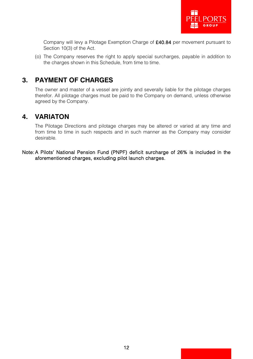

Company will levy a Pilotage Exemption Charge of £40.84 per movement pursuant to Section 10(3) of the Act.

(o) The Company reserves the right to apply special surcharges, payable in addition to the charges shown in this Schedule, from time to time.

# **3. PAYMENT OF CHARGES**

The owner and master of a vessel are jointly and severally liable for the pilotage charges therefor. All pilotage charges must be paid to the Company on demand, unless otherwise agreed by the Company.

## **4. VARIATON**

The Pilotage Directions and pilotage charges may be altered or varied at any time and from time to time in such respects and in such manner as the Company may consider desirable.

Note: A Pilots' National Pension Fund (PNPF) deficit surcharge of 26% is included in the aforementioned charges, excluding pilot launch charges.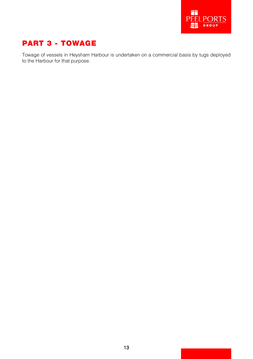

# PART 3 - TOWAGE

Towage of vessels in Heysham Harbour is undertaken on a commercial basis by tugs deployed to the Harbour for that purpose.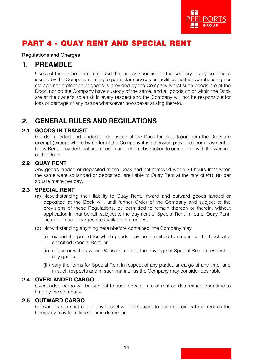

# PART 4 - QUAY RENT AND SPECIAL RENT

#### Regulations and Charges

#### **1. PREAMBLE**

Users of the Harbour are reminded that unless specified to the contrary in any conditions issued by the Company relating to particular services or facilities, neither warehousing nor storage nor protection of goods is provided by the Company whilst such goods are at the Dock, nor do the Company have custody of the same, and all goods on or within the Dock are at the owner's sole risk in every respect and the Company will not be responsible for loss or damage of any nature whatsoever howsoever arising thereto.

# **2. GENERAL RULES AND REGULATIONS**

#### **2.1 GOODS IN TRANSIT**

Goods imported and landed or deposited at the Dock for exportation from the Dock are exempt (except where by Order of the Company it is otherwise provided) from payment of Quay Rent, provided that such goods are not an obstruction to or interfere with the working of the Dock.

#### **2.2 QUAY RENT**

Any goods landed or deposited at the Dock and not removed within 24 hours from when the same were so landed or deposited, are liable to Quay Rent at the rate of £10.80 per square metre per day.

#### **2.3 SPECIAL RENT**

- (a) Notwithstanding their liability to Quay Rent, inward and outward goods landed or deposited at the Dock will, until further Order of the Company and subject to the provisions of these Regulations, be permitted to remain thereon or therein, without application in that behalf, subject to the payment of Special Rent in lieu of Quay Rent. Details of such charges are available on request.
- (b) Notwithstanding anything hereinbefore contained, the Company may:
	- (i) extend the period for which goods may be permitted to remain on the Dock at a specified Special Rent, or
	- (ii) refuse or withdraw, on 24 hours' notice, the privilege of Special Rent in respect of any goods.
	- (iii) vary the terms for Special Rent in respect of any particular cargo at any time, and in such respects and in such manner as the Company may consider desirable.

#### **2.4 OVERLANDED CARGO**

Overlanded cargo will be subject to such special rate of rent as determined from time to time by the Company.

#### **2.5 OUTWARD CARGO**

Outward cargo shut out of any vessel will be subject to such special rate of rent as the Company may from time to time determine.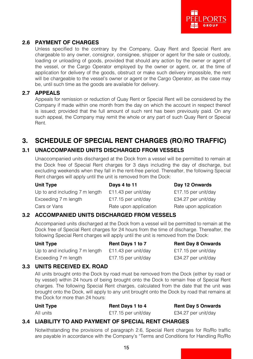

#### **2.6 PAYMENT OF CHARGES**

Unless specified to the contrary by the Company, Quay Rent and Special Rent are chargeable to any owner, consignor, consignee, shipper or agent for the sale or custody, loading or unloading of goods, provided that should any action by the owner or agent of the vessel, or the Cargo Operator employed by the owner or agent, or, at the time of application for delivery of the goods, obstruct or make such delivery impossible, the rent will be chargeable to the vessel's owner or agent or the Cargo Operator, as the case may be, until such time as the goods are available for delivery.

#### **2.7 APPEALS**

Appeals for remission or reduction of Quay Rent or Special Rent will be considered by the Company if made within one month from the day on which the account in respect thereof is issued; provided that the full amount of such rent has been previously paid. On any such appeal, the Company may remit the whole or any part of such Quay Rent or Special Rent.

# **3. SCHEDULE OF SPECIAL RENT CHARGES (RO/RO TRAFFIC)**

#### **3.1 UNACCOMPANIED UNITS DISCHARGED FROM VESSELS**

Unaccompanied units discharged at the Dock from a vessel will be permitted to remain at the Dock free of Special Rent charges for 3 days including the day of discharge, but excluding weekends when they fall in the rent-free period. Thereafter, the following Special Rent charges will apply until the unit is removed from the Dock:

| <b>Unit Type</b>               | Days 4 to 11          | Day 12 Onwards        |
|--------------------------------|-----------------------|-----------------------|
| Up to and including 7 m length | £11.43 per unit/day   | £17.15 per unit/day   |
| Exceeding 7 m length           | £17.15 per unit/day   | £34.27 per unit/day   |
| Cars or Vans                   | Rate upon application | Rate upon application |

#### **3.2 ACCOMPANIED UNITS DISCHARGED FROM VESSELS**

Accompanied units discharged at the Dock from a vessel will be permitted to remain at the Dock free of Special Rent charges for 24 hours from the time of discharge. Thereafter, the following Special Rent charges will apply until the unit is removed from the Dock:

| <b>Unit Type</b>               | Rent Days 1 to 7    | <b>Rent Day 8 Onwards</b> |
|--------------------------------|---------------------|---------------------------|
| Up to and including 7 m length | £11.43 per unit/day | £17.15 per unit/day       |
| Exceeding 7 m length           | £17.15 per unit/day | £34.27 per unit/day       |

#### **3.3 UNITS RECEIVED EX. ROAD**

All units brought onto the Dock by road must be removed from the Dock (either by road or by vessel) within 24 hours of being brought onto the Dock to remain free of Special Rent charges. The following Special Rent charges, calculated from the date that the unit was brought onto the Dock, will apply to any unit brought onto the Dock by road that remains at the Dock for more than 24 hours:

| <b>Unit Type</b> | Rent Days 1 to 4    | <b>Rent Day 5 Onwards</b> |
|------------------|---------------------|---------------------------|
| All units        | £17.15 per unit/day | £34.27 per unit/day       |

#### **3.4 LIABILITY TO AND PAYMENT OF SPECIAL RENT CHARGES**

Notwithstanding the provisions of paragraph 2.6, Special Rent charges for Ro/Ro traffic are payable in accordance with the Company's "Terms and Conditions for Handling Ro/Ro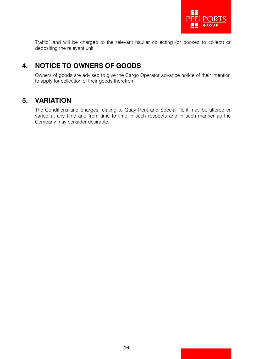

Traffic" and will be charged to the relevant haulier collecting (or booked to collect) or depositing the relevant unit.

# **4. NOTICE TO OWNERS OF GOODS**

Owners of goods are advised to give the Cargo Operator advance notice of their intention to apply for collection of their goods therefrom.

# **5. VARIATION**

The Conditions and charges relating to Quay Rent and Special Rent may be altered or varied at any time and from time to time in such respects and in such manner as the Company may consider desirable.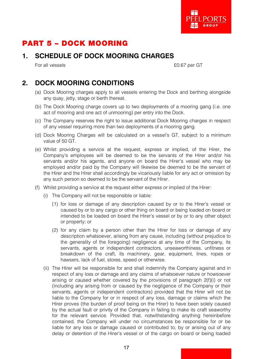

# PART 5 – DOCK MOORING

# **1. SCHEDULE OF DOCK MOORING CHARGES**

For all vessels **EQ.67** per GT

# **2. DOCK MOORING CONDITIONS**

- (a) Dock Mooring charges apply to all vessels entering the Dock and berthing alongside any quay, jetty, stage or berth thereat.
- (b) The Dock Mooring charge covers up to two deployments of a mooring gang (i.e. one act of mooring and one act of unmooring) per entry into the Dock.
- (c) The Company reserves the right to issue additional Dock Mooring charges in respect of any vessel requiring more than two deployments of a mooring gang.
- (d) Dock Mooring Charges will be calculated on a vessel's GT, subject to a minimum value of 50 GT.
- (e) Whilst providing a service at the request, express or implied, of the Hirer, the Company's employees will be deemed to be the servants of the Hirer and/or his servants and/or his agents, and anyone on board the Hirer's vessel who may be employed and/or paid by the Company will likewise be deemed to be the servant of the Hirer and the Hirer shall accordingly be vicariously liable for any act or omission by any such person so deemed to be the servant of the Hirer.
- (f) Whilst providing a service at the request either express or implied of the Hirer:
	- (i) The Company will not be responsible or liable:
		- (1) for loss or damage of any description caused by or to the Hirer's vessel or caused by or to any cargo or other thing on board or being loaded on board or intended to be loaded on board the Hirer's vessel or by or to any other object or property; or
		- (2) for any claim by a person other than the Hirer for loss or damage of any description whatsoever, arising from any cause, including (without prejudice to the generality of the foregoing) negligence at any time of the Company, its servants, agents or independent contractors, unseaworthiness, unfitness or breakdown of the craft, its machinery, gear, equipment, lines, ropes or hawsers, lack of fuel, stores, speed or otherwise.
	- (ii) The Hirer will be responsible for and shall indemnify the Company against and in respect of any loss or damage and any claims of whatsoever nature or howsoever arising or caused whether covered by the provisions of paragraph 2(f)(i) or not (including any arising from or caused by the negligence of the Company or their servants, agents or independent contractors) provided that the Hirer will not be liable to the Company for or in respect of any loss, damage or claims which the Hirer proves (the burden of proof being on the Hirer) to have been solely caused by the actual fault or privity of the Company in failing to make its craft seaworthy for the relevant service. Provided that, notwithstanding anything hereinbefore contained, the Company will under no circumstances be responsible for or be liable for any loss or damage caused or contributed to, by or arising out of any delay or detention of the Hirer's vessel or of the cargo on board or being loaded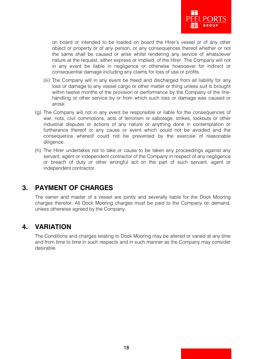

on board or intended to be loaded on board the Hirer's vessel or of any other object or property or of any person, or any consequences thereof whether or not the same shall be caused or arise whilst rendering any service of whatsoever nature at the request, either express or implied, of the Hirer. The Company will not in any event be liable in negligence or otherwise howsoever for indirect or consequential damage including any claims for loss of use or profits.

- (iii) The Company will in any event be freed and discharged from all liability for any loss or damage to any vessel cargo or other matter or thing unless suit is brought within twelve months of the provision or performance by the Company of the linehandling or other service by or from which such loss or damage was caused or arose.
- (g) The Company will not in any event be responsible or liable for the consequences of war, riots, civil commotions, acts of terrorism or sabotage, strikes, lockouts or other industrial disputes or actions of any nature or anything done in contemplation or furtherance thereof or any cause or event which could not be avoided and the consequence whereof could not be prevented by the exercise of reasonable diligence.
- (h) The Hirer undertakes not to take or cause to be taken any proceedings against any servant, agent or independent contractor of the Company in respect of any negligence or breach of duty or other wrongful act on the part of such servant, agent or independent contractor.

# **3. PAYMENT OF CHARGES**

The owner and master of a vessel are jointly and severally liable for the Dock Mooring charges therefor. All Dock Mooring charges must be paid to the Company on demand, unless otherwise agreed by the Company.

## **4. VARIATION**

The Conditions and charges relating to Dock Mooring may be altered or varied at any time and from time to time in such respects and in such manner as the Company may consider desirable.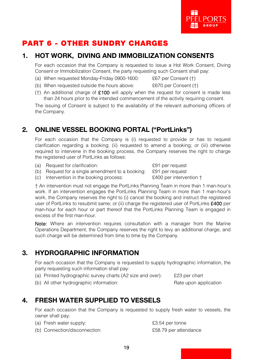

# PART 6 - OTHER SUNDRY CHARGES

# 1. HOT WORK, DIVING AND IMMOBILIZATION CONSENTS

For each occasion that the Company is requested to issue a Hot Work Consent, Diving Consent or Immobilization Consent, the party requesting such Consent shall pay:

- (a) When requested Monday-Friday 0900-1600: £67 per Consent (†)
- (b) When requested outside the hours above: £670 per Consent (†)
- (†) An additional charge of  $£100$  will apply when the request for consent is made less than 24 hours prior to the intended commencement of the activity requiring consent.

The issuing of Consent is subject to the availability of the relevant authorising officers of the Company.

# 2. ONLINE VESSEL BOOKING PORTAL ("PortLinks")

For each occasion that the Company is (i) requested to provide or has to request clarification regarding a booking; (ii) requested to amend a booking; or (iii) otherwise required to intervene in the booking process, the Company reserves the right to charge the registered user of PortLinks as follows:

(a) Request for clarification:  $£91$  per request

(b) Request for a single amendment to a booking: £91 per request (c) Intervention in the booking process: £400 per intervention †

† An intervention must not engage the PortLinks Planning Team in more than 1 man-hour's work. If an intervention engages the PortLinks Planning Team in more than 1 man-hour's work, the Company reserves the right to (i) cancel the booking and instruct the registered user of PortLinks to resubmit same; or (ii) charge the registered user of PortLinks £400 per man-hour for each hour or part thereof that the PortLinks Planning Team is engaged in excess of the first man-hour.

Note: Where an intervention requires consultation with a manager from the Marine Operations Department, the Company reserves the right to levy an additional charge, and such charge will be determined from time to time by the Company.

# 3. HYDROGRAPHIC INFORMATION

For each occasion that the Company is requested to supply hydrographic information, the party requesting such information shall pay:

(a) Printed hydrographic survey charts (A2 size and over): £23 per chart

(b) All other hydrographic information: Rate upon application Rate upon application

# 4. FRESH WATER SUPPLIED TO VESSELS

For each occasion that the Company is requested to supply fresh water to vessels, the owner shall pay:

- (a) Fresh water supply: £3.54 per tonne
- (b) Connection/disconnection: £58.79 per attendance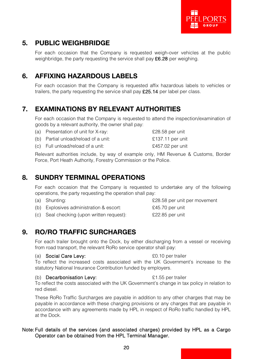

# 5. PUBLIC WEIGHBRIDGE

For each occasion that the Company is requested weigh-over vehicles at the public weighbridge, the party requesting the service shall pay  $E6.28$  per weighing.

# 6. AFFIXING HAZARDOUS LABELS

For each occasion that the Company is requested affix hazardous labels to vehicles or trailers, the party requesting the service shall pay £25.14 per label per class.

# 7. EXAMINATIONS BY RELEVANT AUTHORITIES

For each occasion that the Company is requested to attend the inspection/examination of goods by a relevant authority, the owner shall pay:

| (a) Presentation of unit for X-ray:  | £28.58 per unit  |
|--------------------------------------|------------------|
| (b) Partial unload/reload of a unit: | £137.11 per unit |
| (c) Full unload/reload of a unit:    | £457.02 per unit |

Relevant authorities include, by way of example only, HM Revenue & Customs, Border Force, Port Heath Authority, Forestry Commission or the Police.

# 8. SUNDRY TERMINAL OPERATIONS

For each occasion that the Company is requested to undertake any of the following operations, the party requesting the operation shall pay:

| (a) Shunting:                           | £28.58 per unit per movement |
|-----------------------------------------|------------------------------|
| (b) Explosives administration & escort: | £45.70 per unit              |

(c) Seal checking (upon written request): £22.85 per unit

# 9. RO/RO TRAFFIC SURCHARGES

For each trailer brought onto the Dock, by either discharging from a vessel or receiving from road transport, the relevant RoRo service operator shall pay:

#### (a) **Social Care Levy:**  $\qquad \qquad$  £0.10 per trailer

To reflect the increased costs associated with the UK Government's increase to the statutory National Insurance Contribution funded by employers.

#### (b) **Decarbonisation Levy:**  $E1.55$  per trailer

To reflect the costs associated with the UK Government's change in tax policy in relation to red diesel.

These RoRo Traffic Surcharges are payable in addition to any other charges that may be payable in accordance with these charging provisions or any charges that are payable in accordance with any agreements made by HPL in respect of RoRo traffic handled by HPL at the Dock.

#### Note: Full details of the services (and associated charges) provided by HPL as a Cargo Operator can be obtained from the HPL Terminal Manager.

20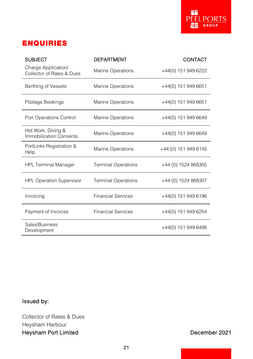

# ENQUIRIES

| <b>SUBJECT</b>                                   | <b>DEPARTMENT</b>          | CONTACT              |
|--------------------------------------------------|----------------------------|----------------------|
| Charge Application/<br>Collector of Rates & Dues | <b>Marine Operations</b>   | +44(0) 151 949 6222  |
| Berthing of Vessels                              | <b>Marine Operations</b>   | +44(0) 151 949 6651  |
| Pilotage Bookings                                | <b>Marine Operations</b>   | +44(0) 151 949 6651  |
| Port Operations Control                          | <b>Marine Operations</b>   | +44(0) 151 949 6649  |
| Hot Work, Diving &<br>Immobilization Consents    | <b>Marine Operations</b>   | +44(0) 151 949 6649  |
| PortLinks Registration &<br>Help                 | <b>Marine Operations</b>   | +44 (0) 151 949 6145 |
| <b>HPL Terminal Manager</b>                      | <b>Terminal Operations</b> | +44 (0) 1524 868305  |
| <b>HPL Operation Supervisor</b>                  | <b>Terminal Operations</b> | +44 (0) 1524 868307  |
| Invoicing                                        | <b>Financial Services</b>  | +44(0) 151 949 6196  |
| Payment of Invoices                              | <b>Financial Services</b>  | +44(0) 151 949 6254  |
| Sales/Business<br>Development                    |                            | +44(0) 151 949 6496  |

# Issued by:

Collector of Rates & Dues Heysham Harbour Heysham Port Limited **December 2021**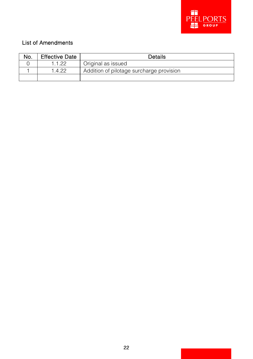

### List of Amendments

| No. | <b>Effective Date</b> | <b>Details</b>                           |
|-----|-----------------------|------------------------------------------|
|     | 1122                  | Original as issued                       |
|     | 1499                  | Addition of pilotage surcharge provision |
|     |                       |                                          |